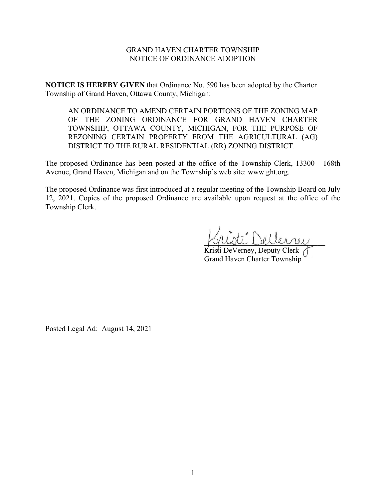## GRAND HAVEN CHARTER TOWNSHIP NOTICE OF ORDINANCE ADOPTION

**NOTICE IS HEREBY GIVEN** that Ordinance No. 590 has been adopted by the Charter Township of Grand Haven, Ottawa County, Michigan:

AN ORDINANCE TO AMEND CERTAIN PORTIONS OF THE ZONING MAP OF THE ZONING ORDINANCE FOR GRAND HAVEN CHARTER TOWNSHIP, OTTAWA COUNTY, MICHIGAN, FOR THE PURPOSE OF REZONING CERTAIN PROPERTY FROM THE AGRICULTURAL (AG) DISTRICT TO THE RURAL RESIDENTIAL (RR) ZONING DISTRICT.

The proposed Ordinance has been posted at the office of the Township Clerk, 13300 - 168th Avenue, Grand Haven, Michigan and on the Township's web site: www.ght.org.

The proposed Ordinance was first introduced at a regular meeting of the Township Board on July 12, 2021. Copies of the proposed Ordinance are available upon request at the office of the Township Clerk.

 $L^2$  Dellerrey

Kristi DeVerney, Deputy Clerk Grand Haven Charter Township

Posted Legal Ad: August 14, 2021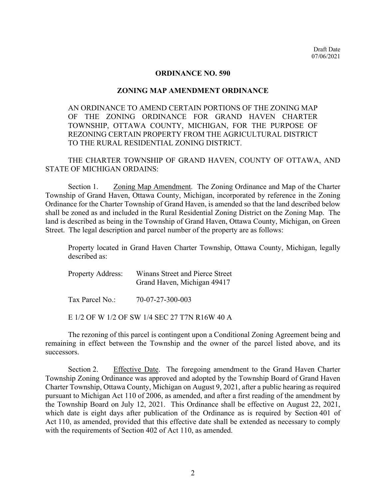## **ORDINANCE NO. 590**

## **ZONING MAP AMENDMENT ORDINANCE**

AN ORDINANCE TO AMEND CERTAIN PORTIONS OF THE ZONING MAP OF THE ZONING ORDINANCE FOR GRAND HAVEN CHARTER TOWNSHIP, OTTAWA COUNTY, MICHIGAN, FOR THE PURPOSE OF REZONING CERTAIN PROPERTY FROM THE AGRICULTURAL DISTRICT TO THE RURAL RESIDENTIAL ZONING DISTRICT.

THE CHARTER TOWNSHIP OF GRAND HAVEN, COUNTY OF OTTAWA, AND STATE OF MICHIGAN ORDAINS:

Section 1. Zoning Map Amendment. The Zoning Ordinance and Map of the Charter Township of Grand Haven, Ottawa County, Michigan, incorporated by reference in the Zoning Ordinance for the Charter Township of Grand Haven, is amended so that the land described below shall be zoned as and included in the Rural Residential Zoning District on the Zoning Map. The land is described as being in the Township of Grand Haven, Ottawa County, Michigan, on Green Street. The legal description and parcel number of the property are as follows:

Property located in Grand Haven Charter Township, Ottawa County, Michigan, legally described as:

| <b>Property Address:</b> | Winans Street and Pierce Street<br>Grand Haven, Michigan 49417 |
|--------------------------|----------------------------------------------------------------|
| Tax Parcel No.:          | 70-07-27-300-003                                               |

E 1/2 OF W 1/2 OF SW 1/4 SEC 27 T7N R16W 40 A

The rezoning of this parcel is contingent upon a Conditional Zoning Agreement being and remaining in effect between the Township and the owner of the parcel listed above, and its successors.

Section 2. Effective Date. The foregoing amendment to the Grand Haven Charter Township Zoning Ordinance was approved and adopted by the Township Board of Grand Haven Charter Township, Ottawa County, Michigan on August 9, 2021, after a public hearing as required pursuant to Michigan Act 110 of 2006, as amended, and after a first reading of the amendment by the Township Board on July 12, 2021. This Ordinance shall be effective on August 22, 2021, which date is eight days after publication of the Ordinance as is required by Section 401 of Act 110, as amended, provided that this effective date shall be extended as necessary to comply with the requirements of Section 402 of Act 110, as amended.